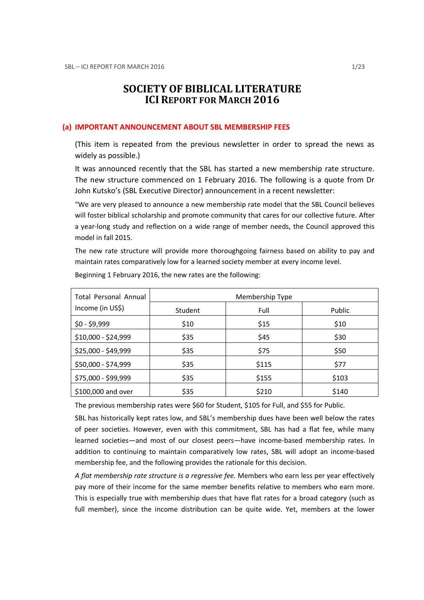# SOCIETY OF BIBLICAL LITERATURE ICI REPORT FOR MARCH 2016

### (a) IMPORTANT ANNOUNCEMENT ABOUT SBL MEMBERSHIP FEES

(This item is repeated from the previous newsletter in order to spread the news as widely as possible.)

It was announced recently that the SBL has started a new membership rate structure. The new structure commenced on 1 February 2016. The following is a quote from Dr John Kutsko's (SBL Executive Director) announcement in a recent newsletter:

"We are very pleased to announce a new membership rate model that the SBL Council believes will foster biblical scholarship and promote community that cares for our collective future. After a year-long study and reflection on a wide range of member needs, the Council approved this model in fall 2015.

The new rate structure will provide more thoroughgoing fairness based on ability to pay and maintain rates comparatively low for a learned society member at every income level.

| <b>Total Personal Annual</b> | Membership Type |       |        |
|------------------------------|-----------------|-------|--------|
| Income (in US\$)             | Student         | Full  | Public |
| $$0 - $9,999$                | \$10            | \$15  | \$10   |
| \$10,000 - \$24,999          | \$35            | \$45  | \$30   |
| \$25,000 - \$49,999          | \$35            | \$75  | \$50   |
| \$50,000 - \$74,999          | \$35            | \$115 | \$77   |
| \$75,000 - \$99,999          | \$35            | \$155 | \$103  |
| \$100,000 and over           | \$35            | \$210 | \$140  |

Beginning 1 February 2016, the new rates are the following:

The previous membership rates were \$60 for Student, \$105 for Full, and \$55 for Public.

SBL has historically kept rates low, and SBL's membership dues have been well below the rates of peer societies. However, even with this commitment, SBL has had a flat fee, while many learned societies—and most of our closest peers—have income-based membership rates. In addition to continuing to maintain comparatively low rates, SBL will adopt an income-based membership fee, and the following provides the rationale for this decision.

A flat membership rate structure is a rearessive fee. Members who earn less per year effectively pay more of their income for the same member benefits relative to members who earn more. This is especially true with membership dues that have flat rates for a broad category (such as full member), since the income distribution can be quite wide. Yet, members at the lower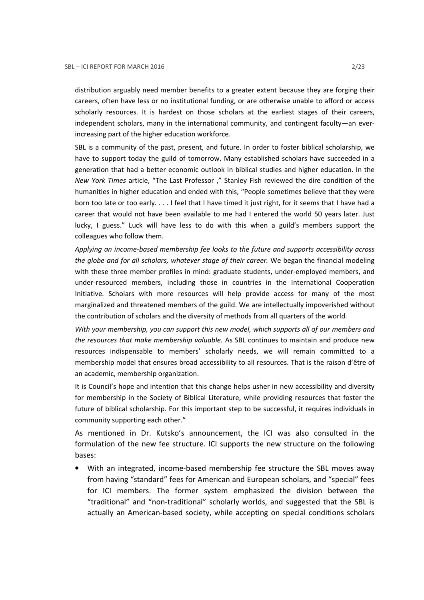distribution arguably need member benefits to a greater extent because they are forging their careers, often have less or no institutional funding, or are otherwise unable to afford or access scholarly resources. It is hardest on those scholars at the earliest stages of their careers, independent scholars, many in the international community, and contingent faculty—an everincreasing part of the higher education workforce.

SBL is a community of the past, present, and future. In order to foster biblical scholarship, we have to support today the guild of tomorrow. Many established scholars have succeeded in a generation that had a better economic outlook in biblical studies and higher education. In the New York Times article, "The Last Professor ," Stanley Fish reviewed the dire condition of the humanities in higher education and ended with this, "People sometimes believe that they were born too late or too early. . . . I feel that I have timed it just right, for it seems that I have had a career that would not have been available to me had I entered the world 50 years later. Just lucky, I guess." Luck will have less to do with this when a guild's members support the colleagues who follow them.

Applying an income-based membership fee looks to the future and supports accessibility across the globe and for all scholars, whatever stage of their career. We began the financial modeling with these three member profiles in mind: graduate students, under-employed members, and under-resourced members, including those in countries in the International Cooperation Initiative. Scholars with more resources will help provide access for many of the most marginalized and threatened members of the guild. We are intellectually impoverished without the contribution of scholars and the diversity of methods from all quarters of the world.

With your membership, you can support this new model, which supports all of our members and the resources that make membership valuable. As SBL continues to maintain and produce new resources indispensable to members' scholarly needs, we will remain committed to a membership model that ensures broad accessibility to all resources. That is the raison d'être of an academic, membership organization.

It is Council's hope and intention that this change helps usher in new accessibility and diversity for membership in the Society of Biblical Literature, while providing resources that foster the future of biblical scholarship. For this important step to be successful, it requires individuals in community supporting each other."

As mentioned in Dr. Kutsko's announcement, the ICI was also consulted in the formulation of the new fee structure. ICI supports the new structure on the following bases:

• With an integrated, income-based membership fee structure the SBL moves away from having "standard" fees for American and European scholars, and "special" fees for ICI members. The former system emphasized the division between the "traditional" and "non-traditional" scholarly worlds, and suggested that the SBL is actually an American-based society, while accepting on special conditions scholars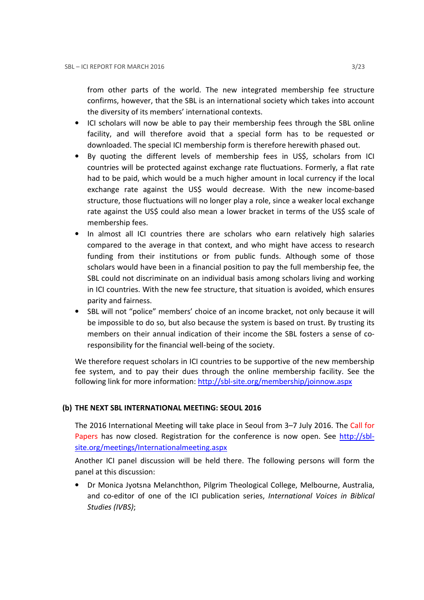from other parts of the world. The new integrated membership fee structure confirms, however, that the SBL is an international society which takes into account the diversity of its members' international contexts.

- ICI scholars will now be able to pay their membership fees through the SBL online facility, and will therefore avoid that a special form has to be requested or downloaded. The special ICI membership form is therefore herewith phased out.
- By quoting the different levels of membership fees in US\$, scholars from ICI countries will be protected against exchange rate fluctuations. Formerly, a flat rate had to be paid, which would be a much higher amount in local currency if the local exchange rate against the US\$ would decrease. With the new income-based structure, those fluctuations will no longer play a role, since a weaker local exchange rate against the US\$ could also mean a lower bracket in terms of the US\$ scale of membership fees.
- In almost all ICI countries there are scholars who earn relatively high salaries compared to the average in that context, and who might have access to research funding from their institutions or from public funds. Although some of those scholars would have been in a financial position to pay the full membership fee, the SBL could not discriminate on an individual basis among scholars living and working in ICI countries. With the new fee structure, that situation is avoided, which ensures parity and fairness.
- SBL will not "police" members' choice of an income bracket, not only because it will be impossible to do so, but also because the system is based on trust. By trusting its members on their annual indication of their income the SBL fosters a sense of coresponsibility for the financial well-being of the society.

We therefore request scholars in ICI countries to be supportive of the new membership fee system, and to pay their dues through the online membership facility. See the following link for more information: http://sbl-site.org/membership/joinnow.aspx

# (b) THE NEXT SBL INTERNATIONAL MEETING: SEOUL 2016

The 2016 International Meeting will take place in Seoul from 3–7 July 2016. The Call for Papers has now closed. Registration for the conference is now open. See http://sblsite.org/meetings/Internationalmeeting.aspx

Another ICI panel discussion will be held there. The following persons will form the panel at this discussion:

• Dr Monica Jyotsna Melanchthon, Pilgrim Theological College, Melbourne, Australia, and co-editor of one of the ICI publication series, International Voices in Biblical Studies (IVBS);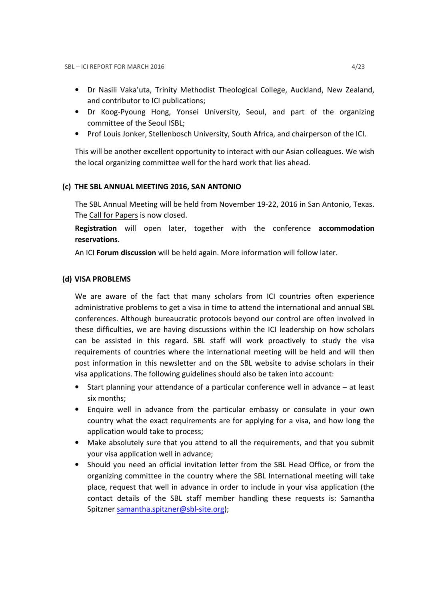- Dr Nasili Vaka'uta, Trinity Methodist Theological College, Auckland, New Zealand, and contributor to ICI publications;
- Dr Koog-Pyoung Hong, Yonsei University, Seoul, and part of the organizing committee of the Seoul ISBL;
- Prof Louis Jonker, Stellenbosch University, South Africa, and chairperson of the ICI.

This will be another excellent opportunity to interact with our Asian colleagues. We wish the local organizing committee well for the hard work that lies ahead.

## (c) THE SBL ANNUAL MEETING 2016, SAN ANTONIO

The SBL Annual Meeting will be held from November 19-22, 2016 in San Antonio, Texas. The Call for Papers is now closed.

Registration will open later, together with the conference accommodation reservations.

An ICI Forum discussion will be held again. More information will follow later.

## (d) VISA PROBLEMS

We are aware of the fact that many scholars from ICI countries often experience administrative problems to get a visa in time to attend the international and annual SBL conferences. Although bureaucratic protocols beyond our control are often involved in these difficulties, we are having discussions within the ICI leadership on how scholars can be assisted in this regard. SBL staff will work proactively to study the visa requirements of countries where the international meeting will be held and will then post information in this newsletter and on the SBL website to advise scholars in their visa applications. The following guidelines should also be taken into account:

- Start planning your attendance of a particular conference well in advance at least six months;
- Enquire well in advance from the particular embassy or consulate in your own country what the exact requirements are for applying for a visa, and how long the application would take to process;
- Make absolutely sure that you attend to all the requirements, and that you submit your visa application well in advance;
- Should you need an official invitation letter from the SBL Head Office, or from the organizing committee in the country where the SBL International meeting will take place, request that well in advance in order to include in your visa application (the contact details of the SBL staff member handling these requests is: Samantha Spitzner samantha.spitzner@sbl-site.org);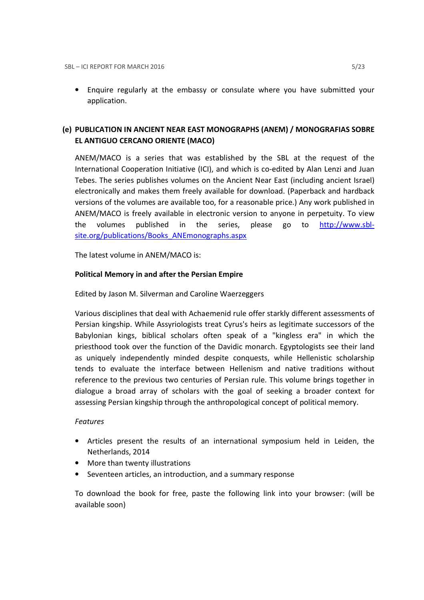• Enquire regularly at the embassy or consulate where you have submitted your application.

# (e) PUBLICATION IN ANCIENT NEAR EAST MONOGRAPHS (ANEM) / MONOGRAFIAS SOBRE EL ANTIGUO CERCANO ORIENTE (MACO)

ANEM/MACO is a series that was established by the SBL at the request of the International Cooperation Initiative (ICI), and which is co-edited by Alan Lenzi and Juan Tebes. The series publishes volumes on the Ancient Near East (including ancient Israel) electronically and makes them freely available for download. (Paperback and hardback versions of the volumes are available too, for a reasonable price.) Any work published in ANEM/MACO is freely available in electronic version to anyone in perpetuity. To view the volumes published in the series, please go to http://www.sblsite.org/publications/Books\_ANEmonographs.aspx

The latest volume in ANEM/MACO is:

## Political Memory in and after the Persian Empire

Edited by Jason M. Silverman and Caroline Waerzeggers

Various disciplines that deal with Achaemenid rule offer starkly different assessments of Persian kingship. While Assyriologists treat Cyrus's heirs as legitimate successors of the Babylonian kings, biblical scholars often speak of a "kingless era" in which the priesthood took over the function of the Davidic monarch. Egyptologists see their land as uniquely independently minded despite conquests, while Hellenistic scholarship tends to evaluate the interface between Hellenism and native traditions without reference to the previous two centuries of Persian rule. This volume brings together in dialogue a broad array of scholars with the goal of seeking a broader context for assessing Persian kingship through the anthropological concept of political memory.

### Features

- Articles present the results of an international symposium held in Leiden, the Netherlands, 2014
- More than twenty illustrations
- Seventeen articles, an introduction, and a summary response

To download the book for free, paste the following link into your browser: (will be available soon)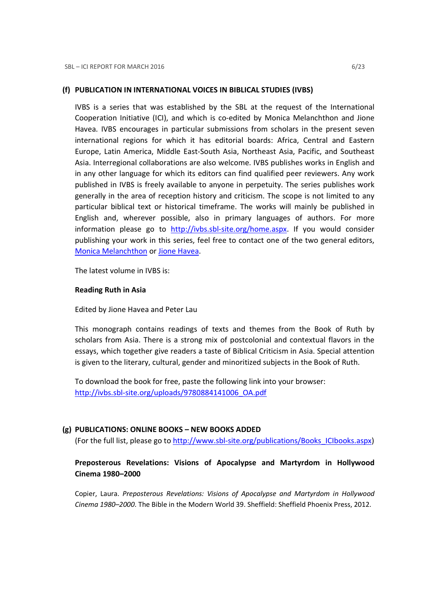## (f) PUBLICATION IN INTERNATIONAL VOICES IN BIBLICAL STUDIES (IVBS)

IVBS is a series that was established by the SBL at the request of the International Cooperation Initiative (ICI), and which is co-edited by Monica Melanchthon and Jione Havea. IVBS encourages in particular submissions from scholars in the present seven international regions for which it has editorial boards: Africa, Central and Eastern Europe, Latin America, Middle East-South Asia, Northeast Asia, Pacific, and Southeast Asia. Interregional collaborations are also welcome. IVBS publishes works in English and in any other language for which its editors can find qualified peer reviewers. Any work published in IVBS is freely available to anyone in perpetuity. The series publishes work generally in the area of reception history and criticism. The scope is not limited to any particular biblical text or historical timeframe. The works will mainly be published in English and, wherever possible, also in primary languages of authors. For more information please go to http://ivbs.sbl-site.org/home.aspx. If you would consider publishing your work in this series, feel free to contact one of the two general editors, Monica Melanchthon or Jione Havea.

The latest volume in IVBS is:

### Reading Ruth in Asia

Edited by Jione Havea and Peter Lau

This monograph contains readings of texts and themes from the Book of Ruth by scholars from Asia. There is a strong mix of postcolonial and contextual flavors in the essays, which together give readers a taste of Biblical Criticism in Asia. Special attention is given to the literary, cultural, gender and minoritized subjects in the Book of Ruth.

To download the book for free, paste the following link into your browser: http://ivbs.sbl-site.org/uploads/9780884141006\_OA.pdf

### (g) PUBLICATIONS: ONLINE BOOKS – NEW BOOKS ADDED

(For the full list, please go to http://www.sbl-site.org/publications/Books\_ICIbooks.aspx)

# Preposterous Revelations: Visions of Apocalypse and Martyrdom in Hollywood Cinema 1980–2000

Copier, Laura. Preposterous Revelations: Visions of Apocalypse and Martyrdom in Hollywood Cinema 1980–2000. The Bible in the Modern World 39. Sheffield: Sheffield Phoenix Press, 2012.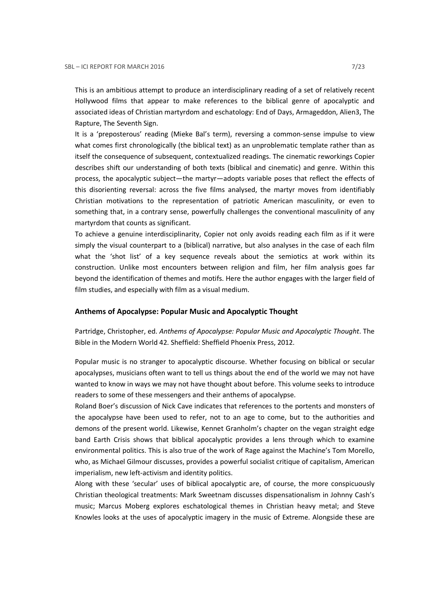This is an ambitious attempt to produce an interdisciplinary reading of a set of relatively recent Hollywood films that appear to make references to the biblical genre of apocalyptic and associated ideas of Christian martyrdom and eschatology: End of Days, Armageddon, Alien3, The Rapture, The Seventh Sign.

It is a 'preposterous' reading (Mieke Bal's term), reversing a common-sense impulse to view what comes first chronologically (the biblical text) as an unproblematic template rather than as itself the consequence of subsequent, contextualized readings. The cinematic reworkings Copier describes shift our understanding of both texts (biblical and cinematic) and genre. Within this process, the apocalyptic subject—the martyr—adopts variable poses that reflect the effects of this disorienting reversal: across the five films analysed, the martyr moves from identifiably Christian motivations to the representation of patriotic American masculinity, or even to something that, in a contrary sense, powerfully challenges the conventional masculinity of any martyrdom that counts as significant.

To achieve a genuine interdisciplinarity, Copier not only avoids reading each film as if it were simply the visual counterpart to a (biblical) narrative, but also analyses in the case of each film what the 'shot list' of a key sequence reveals about the semiotics at work within its construction. Unlike most encounters between religion and film, her film analysis goes far beyond the identification of themes and motifs. Here the author engages with the larger field of film studies, and especially with film as a visual medium.

#### Anthems of Apocalypse: Popular Music and Apocalyptic Thought

Partridge, Christopher, ed. Anthems of Apocalypse: Popular Music and Apocalyptic Thought. The Bible in the Modern World 42. Sheffield: Sheffield Phoenix Press, 2012.

Popular music is no stranger to apocalyptic discourse. Whether focusing on biblical or secular apocalypses, musicians often want to tell us things about the end of the world we may not have wanted to know in ways we may not have thought about before. This volume seeks to introduce readers to some of these messengers and their anthems of apocalypse.

Roland Boer's discussion of Nick Cave indicates that references to the portents and monsters of the apocalypse have been used to refer, not to an age to come, but to the authorities and demons of the present world. Likewise, Kennet Granholm's chapter on the vegan straight edge band Earth Crisis shows that biblical apocalyptic provides a lens through which to examine environmental politics. This is also true of the work of Rage against the Machine's Tom Morello, who, as Michael Gilmour discusses, provides a powerful socialist critique of capitalism, American imperialism, new left-activism and identity politics.

Along with these 'secular' uses of biblical apocalyptic are, of course, the more conspicuously Christian theological treatments: Mark Sweetnam discusses dispensationalism in Johnny Cash's music; Marcus Moberg explores eschatological themes in Christian heavy metal; and Steve Knowles looks at the uses of apocalyptic imagery in the music of Extreme. Alongside these are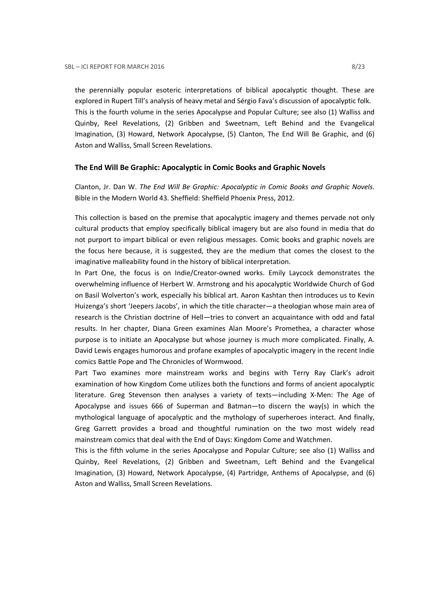the perennially popular esoteric interpretations of biblical apocalyptic thought. These are explored in Rupert Till's analysis of heavy metal and Sérgio Fava's discussion of apocalyptic folk. This is the fourth volume in the series Apocalypse and Popular Culture; see also (1) Walliss and Quinby, Reel Revelations, (2) Gribben and Sweetnam, Left Behind and the Evangelical Imagination, (3) Howard, Network Apocalypse, (5) Clanton, The End Will Be Graphic, and (6) Aston and Walliss, Small Screen Revelations.

### The End Will Be Graphic: Apocalyptic in Comic Books and Graphic Novels

Clanton, Jr. Dan W. The End Will Be Graphic: Apocalyptic in Comic Books and Graphic Novels. Bible in the Modern World 43. Sheffield: Sheffield Phoenix Press, 2012.

This collection is based on the premise that apocalyptic imagery and themes pervade not only cultural products that employ specifically biblical imagery but are also found in media that do not purport to impart biblical or even religious messages. Comic books and graphic novels are the focus here because, it is suggested, they are the medium that comes the closest to the imaginative malleability found in the history of biblical interpretation.

In Part One, the focus is on Indie/Creator-owned works. Emily Laycock demonstrates the overwhelming influence of Herbert W. Armstrong and his apocalyptic Worldwide Church of God on Basil Wolverton's work, especially his biblical art. Aaron Kashtan then introduces us to Kevin Huizenga's short 'Jeepers Jacobs', in which the title character—a theologian whose main area of research is the Christian doctrine of Hell—tries to convert an acquaintance with odd and fatal results. In her chapter, Diana Green examines Alan Moore's Promethea, a character whose purpose is to initiate an Apocalypse but whose journey is much more complicated. Finally, A. David Lewis engages humorous and profane examples of apocalyptic imagery in the recent Indie comics Battle Pope and The Chronicles of Wormwood.

Part Two examines more mainstream works and begins with Terry Ray Clark's adroit examination of how Kingdom Come utilizes both the functions and forms of ancient apocalyptic literature. Greg Stevenson then analyses a variety of texts—including X-Men: The Age of Apocalypse and issues 666 of Superman and Batman—to discern the way(s) in which the mythological language of apocalyptic and the mythology of superheroes interact. And finally, Greg Garrett provides a broad and thoughtful rumination on the two most widely read mainstream comics that deal with the End of Days: Kingdom Come and Watchmen.

This is the fifth volume in the series Apocalypse and Popular Culture; see also (1) Walliss and Quinby, Reel Revelations, (2) Gribben and Sweetnam, Left Behind and the Evangelical Imagination, (3) Howard, Network Apocalypse, (4) Partridge, Anthems of Apocalypse, and (6) Aston and Walliss, Small Screen Revelations.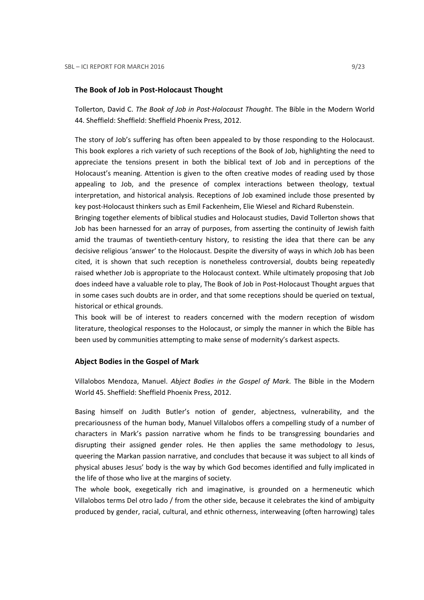### The Book of Job in Post-Holocaust Thought

Tollerton, David C. The Book of Job in Post-Holocaust Thought. The Bible in the Modern World 44. Sheffield: Sheffield: Sheffield Phoenix Press, 2012.

The story of Job's suffering has often been appealed to by those responding to the Holocaust. This book explores a rich variety of such receptions of the Book of Job, highlighting the need to appreciate the tensions present in both the biblical text of Job and in perceptions of the Holocaust's meaning. Attention is given to the often creative modes of reading used by those appealing to Job, and the presence of complex interactions between theology, textual interpretation, and historical analysis. Receptions of Job examined include those presented by key post-Holocaust thinkers such as Emil Fackenheim, Elie Wiesel and Richard Rubenstein.

Bringing together elements of biblical studies and Holocaust studies, David Tollerton shows that Job has been harnessed for an array of purposes, from asserting the continuity of Jewish faith amid the traumas of twentieth-century history, to resisting the idea that there can be any decisive religious 'answer' to the Holocaust. Despite the diversity of ways in which Job has been cited, it is shown that such reception is nonetheless controversial, doubts being repeatedly raised whether Job is appropriate to the Holocaust context. While ultimately proposing that Job does indeed have a valuable role to play, The Book of Job in Post-Holocaust Thought argues that in some cases such doubts are in order, and that some receptions should be queried on textual, historical or ethical grounds.

This book will be of interest to readers concerned with the modern reception of wisdom literature, theological responses to the Holocaust, or simply the manner in which the Bible has been used by communities attempting to make sense of modernity's darkest aspects.

### Abject Bodies in the Gospel of Mark

Villalobos Mendoza, Manuel. Abject Bodies in the Gospel of Mark. The Bible in the Modern World 45. Sheffield: Sheffield Phoenix Press, 2012.

Basing himself on Judith Butler's notion of gender, abjectness, vulnerability, and the precariousness of the human body, Manuel Villalobos offers a compelling study of a number of characters in Mark's passion narrative whom he finds to be transgressing boundaries and disrupting their assigned gender roles. He then applies the same methodology to Jesus, queering the Markan passion narrative, and concludes that because it was subject to all kinds of physical abuses Jesus' body is the way by which God becomes identified and fully implicated in the life of those who live at the margins of society.

The whole book, exegetically rich and imaginative, is grounded on a hermeneutic which Villalobos terms Del otro lado / from the other side, because it celebrates the kind of ambiguity produced by gender, racial, cultural, and ethnic otherness, interweaving (often harrowing) tales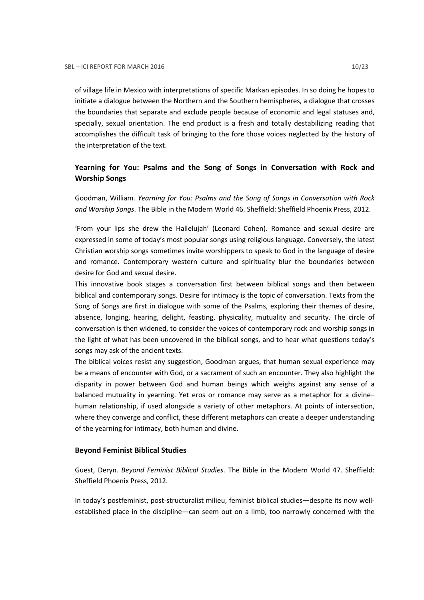of village life in Mexico with interpretations of specific Markan episodes. In so doing he hopes to initiate a dialogue between the Northern and the Southern hemispheres, a dialogue that crosses the boundaries that separate and exclude people because of economic and legal statuses and, specially, sexual orientation. The end product is a fresh and totally destabilizing reading that accomplishes the difficult task of bringing to the fore those voices neglected by the history of the interpretation of the text.

# Yearning for You: Psalms and the Song of Songs in Conversation with Rock and Worship Songs

Goodman, William. Yearning for You: Psalms and the Song of Songs in Conversation with Rock and Worship Songs. The Bible in the Modern World 46. Sheffield: Sheffield Phoenix Press, 2012.

'From your lips she drew the Hallelujah' (Leonard Cohen). Romance and sexual desire are expressed in some of today's most popular songs using religious language. Conversely, the latest Christian worship songs sometimes invite worshippers to speak to God in the language of desire and romance. Contemporary western culture and spirituality blur the boundaries between desire for God and sexual desire.

This innovative book stages a conversation first between biblical songs and then between biblical and contemporary songs. Desire for intimacy is the topic of conversation. Texts from the Song of Songs are first in dialogue with some of the Psalms, exploring their themes of desire, absence, longing, hearing, delight, feasting, physicality, mutuality and security. The circle of conversation is then widened, to consider the voices of contemporary rock and worship songs in the light of what has been uncovered in the biblical songs, and to hear what questions today's songs may ask of the ancient texts.

The biblical voices resist any suggestion, Goodman argues, that human sexual experience may be a means of encounter with God, or a sacrament of such an encounter. They also highlight the disparity in power between God and human beings which weighs against any sense of a balanced mutuality in yearning. Yet eros or romance may serve as a metaphor for a divine– human relationship, if used alongside a variety of other metaphors. At points of intersection, where they converge and conflict, these different metaphors can create a deeper understanding of the yearning for intimacy, both human and divine.

### Beyond Feminist Biblical Studies

Guest, Deryn. Beyond Feminist Biblical Studies. The Bible in the Modern World 47. Sheffield: Sheffield Phoenix Press, 2012.

In today's postfeminist, post-structuralist milieu, feminist biblical studies—despite its now wellestablished place in the discipline—can seem out on a limb, too narrowly concerned with the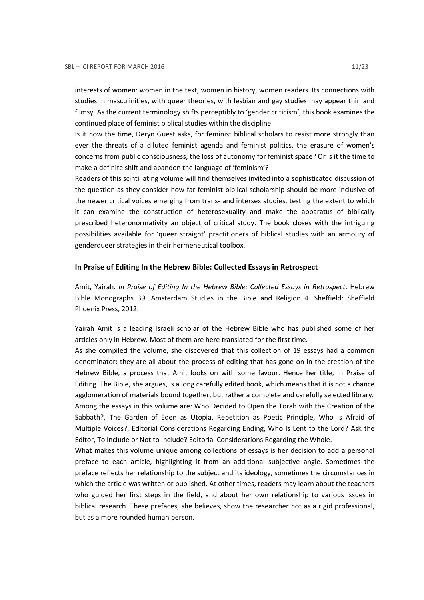interests of women: women in the text, women in history, women readers. Its connections with studies in masculinities, with queer theories, with lesbian and gay studies may appear thin and flimsy. As the current terminology shifts perceptibly to 'gender criticism', this book examines the continued place of feminist biblical studies within the discipline.

Is it now the time, Deryn Guest asks, for feminist biblical scholars to resist more strongly than ever the threats of a diluted feminist agenda and feminist politics, the erasure of women's concerns from public consciousness, the loss of autonomy for feminist space? Or is it the time to make a definite shift and abandon the language of 'feminism'?

Readers of this scintillating volume will find themselves invited into a sophisticated discussion of the question as they consider how far feminist biblical scholarship should be more inclusive of the newer critical voices emerging from trans- and intersex studies, testing the extent to which it can examine the construction of heterosexuality and make the apparatus of biblically prescribed heteronormativity an object of critical study. The book closes with the intriguing possibilities available for 'queer straight' practitioners of biblical studies with an armoury of genderqueer strategies in their hermeneutical toolbox.

### In Praise of Editing In the Hebrew Bible: Collected Essays in Retrospect

Amit, Yairah. In Praise of Editing In the Hebrew Bible: Collected Essays in Retrospect. Hebrew Bible Monographs 39. Amsterdam Studies in the Bible and Religion 4. Sheffield: Sheffield Phoenix Press, 2012.

Yairah Amit is a leading Israeli scholar of the Hebrew Bible who has published some of her articles only in Hebrew. Most of them are here translated for the first time.

As she compiled the volume, she discovered that this collection of 19 essays had a common denominator: they are all about the process of editing that has gone on in the creation of the Hebrew Bible, a process that Amit looks on with some favour. Hence her title, In Praise of Editing. The Bible, she argues, is a long carefully edited book, which means that it is not a chance agglomeration of materials bound together, but rather a complete and carefully selected library. Among the essays in this volume are: Who Decided to Open the Torah with the Creation of the Sabbath?, The Garden of Eden as Utopia, Repetition as Poetic Principle, Who Is Afraid of Multiple Voices?, Editorial Considerations Regarding Ending, Who Is Lent to the Lord? Ask the Editor, To Include or Not to Include? Editorial Considerations Regarding the Whole.

What makes this volume unique among collections of essays is her decision to add a personal preface to each article, highlighting it from an additional subjective angle. Sometimes the preface reflects her relationship to the subject and its ideology, sometimes the circumstances in which the article was written or published. At other times, readers may learn about the teachers who guided her first steps in the field, and about her own relationship to various issues in biblical research. These prefaces, she believes, show the researcher not as a rigid professional, but as a more rounded human person.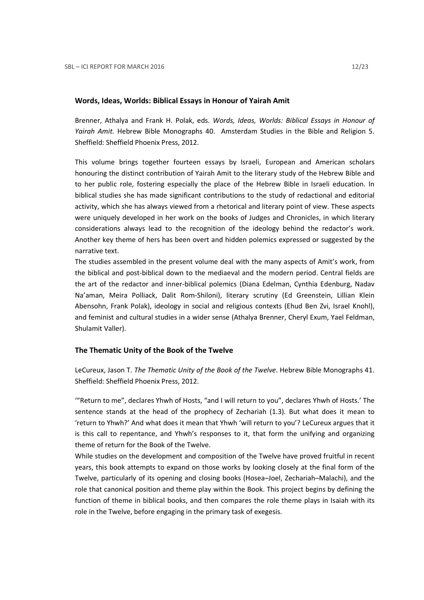### Words, Ideas, Worlds: Biblical Essays in Honour of Yairah Amit

Brenner, Athalya and Frank H. Polak, eds. Words, Ideas, Worlds: Biblical Essays in Honour of Yairah Amit. Hebrew Bible Monographs 40. Amsterdam Studies in the Bible and Religion 5. Sheffield: Sheffield Phoenix Press, 2012.

This volume brings together fourteen essays by Israeli, European and American scholars honouring the distinct contribution of Yairah Amit to the literary study of the Hebrew Bible and to her public role, fostering especially the place of the Hebrew Bible in Israeli education. In biblical studies she has made significant contributions to the study of redactional and editorial activity, which she has always viewed from a rhetorical and literary point of view. These aspects were uniquely developed in her work on the books of Judges and Chronicles, in which literary considerations always lead to the recognition of the ideology behind the redactor's work. Another key theme of hers has been overt and hidden polemics expressed or suggested by the narrative text.

The studies assembled in the present volume deal with the many aspects of Amit's work, from the biblical and post-biblical down to the mediaeval and the modern period. Central fields are the art of the redactor and inner-biblical polemics (Diana Edelman, Cynthia Edenburg, Nadav Na'aman, Meira Polliack, Dalit Rom-Shiloni), literary scrutiny (Ed Greenstein, Lillian Klein Abensohn, Frank Polak), ideology in social and religious contexts (Ehud Ben Zvi, Israel Knohl), and feminist and cultural studies in a wider sense (Athalya Brenner, Cheryl Exum, Yael Feldman, Shulamit Valler).

### The Thematic Unity of the Book of the Twelve

LeCureux, Jason T. The Thematic Unity of the Book of the Twelve. Hebrew Bible Monographs 41. Sheffield: Sheffield Phoenix Press, 2012.

'"Return to me", declares Yhwh of Hosts, "and I will return to you", declares Yhwh of Hosts.' The sentence stands at the head of the prophecy of Zechariah (1.3). But what does it mean to 'return to Yhwh?' And what does it mean that Yhwh 'will return to you'? LeCureux argues that it is this call to repentance, and Yhwh's responses to it, that form the unifying and organizing theme of return for the Book of the Twelve.

While studies on the development and composition of the Twelve have proved fruitful in recent years, this book attempts to expand on those works by looking closely at the final form of the Twelve, particularly of its opening and closing books (Hosea–Joel, Zechariah–Malachi), and the role that canonical position and theme play within the Book. This project begins by defining the function of theme in biblical books, and then compares the role theme plays in Isaiah with its role in the Twelve, before engaging in the primary task of exegesis.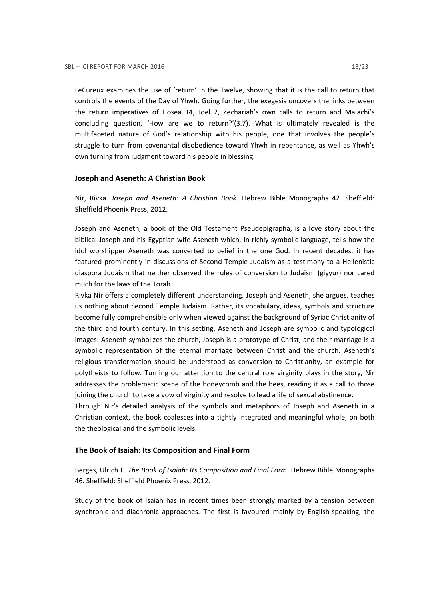LeCureux examines the use of 'return' in the Twelve, showing that it is the call to return that controls the events of the Day of Yhwh. Going further, the exegesis uncovers the links between the return imperatives of Hosea 14, Joel 2, Zechariah's own calls to return and Malachi's concluding question, 'How are we to return?'(3.7). What is ultimately revealed is the multifaceted nature of God's relationship with his people, one that involves the people's struggle to turn from covenantal disobedience toward Yhwh in repentance, as well as Yhwh's own turning from judgment toward his people in blessing.

### Joseph and Aseneth: A Christian Book

Nir, Rivka. Joseph and Aseneth: A Christian Book. Hebrew Bible Monographs 42. Sheffield: Sheffield Phoenix Press, 2012.

Joseph and Aseneth, a book of the Old Testament Pseudepigrapha, is a love story about the biblical Joseph and his Egyptian wife Aseneth which, in richly symbolic language, tells how the idol worshipper Aseneth was converted to belief in the one God. In recent decades, it has featured prominently in discussions of Second Temple Judaism as a testimony to a Hellenistic diaspora Judaism that neither observed the rules of conversion to Judaism (giyyur) nor cared much for the laws of the Torah.

Rivka Nir offers a completely different understanding. Joseph and Aseneth, she argues, teaches us nothing about Second Temple Judaism. Rather, its vocabulary, ideas, symbols and structure become fully comprehensible only when viewed against the background of Syriac Christianity of the third and fourth century. In this setting, Aseneth and Joseph are symbolic and typological images: Aseneth symbolizes the church, Joseph is a prototype of Christ, and their marriage is a symbolic representation of the eternal marriage between Christ and the church. Aseneth's religious transformation should be understood as conversion to Christianity, an example for polytheists to follow. Turning our attention to the central role virginity plays in the story, Nir addresses the problematic scene of the honeycomb and the bees, reading it as a call to those joining the church to take a vow of virginity and resolve to lead a life of sexual abstinence.

Through Nir's detailed analysis of the symbols and metaphors of Joseph and Aseneth in a Christian context, the book coalesces into a tightly integrated and meaningful whole, on both the theological and the symbolic levels.

### The Book of Isaiah: Its Composition and Final Form

Berges, Ulrich F. The Book of Isaiah: Its Composition and Final Form. Hebrew Bible Monographs 46. Sheffield: Sheffield Phoenix Press, 2012.

Study of the book of Isaiah has in recent times been strongly marked by a tension between synchronic and diachronic approaches. The first is favoured mainly by English-speaking, the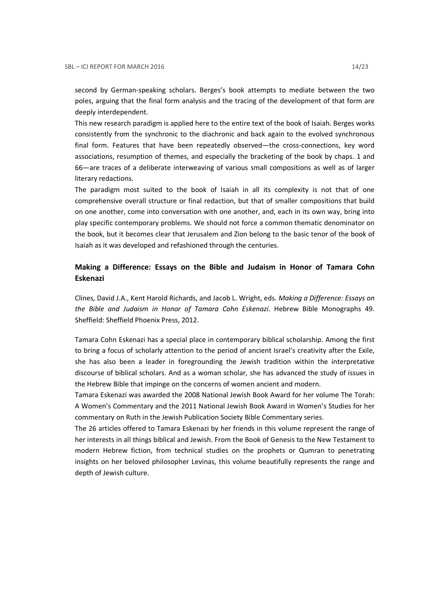second by German-speaking scholars. Berges's book attempts to mediate between the two poles, arguing that the final form analysis and the tracing of the development of that form are deeply interdependent.

This new research paradigm is applied here to the entire text of the book of Isaiah. Berges works consistently from the synchronic to the diachronic and back again to the evolved synchronous final form. Features that have been repeatedly observed—the cross-connections, key word associations, resumption of themes, and especially the bracketing of the book by chaps. 1 and 66—are traces of a deliberate interweaving of various small compositions as well as of larger literary redactions.

The paradigm most suited to the book of Isaiah in all its complexity is not that of one comprehensive overall structure or final redaction, but that of smaller compositions that build on one another, come into conversation with one another, and, each in its own way, bring into play specific contemporary problems. We should not force a common thematic denominator on the book, but it becomes clear that Jerusalem and Zion belong to the basic tenor of the book of Isaiah as it was developed and refashioned through the centuries.

# Making a Difference: Essays on the Bible and Judaism in Honor of Tamara Cohn Eskenazi

Clines, David J.A., Kent Harold Richards, and Jacob L. Wright, eds. Making a Difference: Essays on the Bible and Judaism in Honor of Tamara Cohn Eskenazi. Hebrew Bible Monographs 49. Sheffield: Sheffield Phoenix Press, 2012.

Tamara Cohn Eskenazi has a special place in contemporary biblical scholarship. Among the first to bring a focus of scholarly attention to the period of ancient Israel's creativity after the Exile, she has also been a leader in foregrounding the Jewish tradition within the interpretative discourse of biblical scholars. And as a woman scholar, she has advanced the study of issues in the Hebrew Bible that impinge on the concerns of women ancient and modern.

Tamara Eskenazi was awarded the 2008 National Jewish Book Award for her volume The Torah: A Women's Commentary and the 2011 National Jewish Book Award in Women's Studies for her commentary on Ruth in the Jewish Publication Society Bible Commentary series.

The 26 articles offered to Tamara Eskenazi by her friends in this volume represent the range of her interests in all things biblical and Jewish. From the Book of Genesis to the New Testament to modern Hebrew fiction, from technical studies on the prophets or Qumran to penetrating insights on her beloved philosopher Levinas, this volume beautifully represents the range and depth of Jewish culture.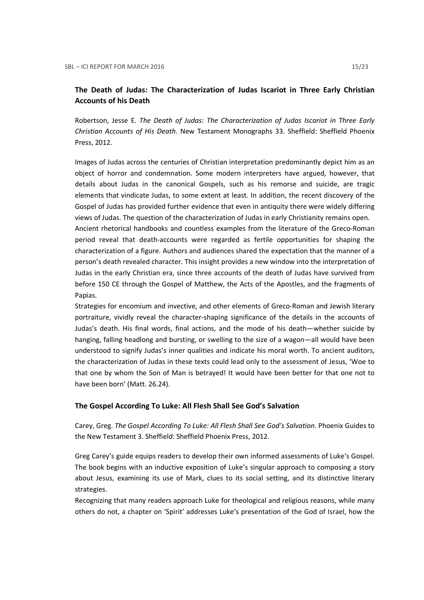# The Death of Judas: The Characterization of Judas Iscariot in Three Early Christian Accounts of his Death

Robertson, Jesse E. The Death of Judas: The Characterization of Judas Iscariot in Three Early Christian Accounts of His Death. New Testament Monographs 33. Sheffield: Sheffield Phoenix Press, 2012.

Images of Judas across the centuries of Christian interpretation predominantly depict him as an object of horror and condemnation. Some modern interpreters have argued, however, that details about Judas in the canonical Gospels, such as his remorse and suicide, are tragic elements that vindicate Judas, to some extent at least. In addition, the recent discovery of the Gospel of Judas has provided further evidence that even in antiquity there were widely differing views of Judas. The question of the characterization of Judas in early Christianity remains open. Ancient rhetorical handbooks and countless examples from the literature of the Greco-Roman

period reveal that death-accounts were regarded as fertile opportunities for shaping the characterization of a figure. Authors and audiences shared the expectation that the manner of a person's death revealed character. This insight provides a new window into the interpretation of Judas in the early Christian era, since three accounts of the death of Judas have survived from before 150 CE through the Gospel of Matthew, the Acts of the Apostles, and the fragments of Papias.

Strategies for encomium and invective, and other elements of Greco-Roman and Jewish literary portraiture, vividly reveal the character-shaping significance of the details in the accounts of Judas's death. His final words, final actions, and the mode of his death—whether suicide by hanging, falling headlong and bursting, or swelling to the size of a wagon—all would have been understood to signify Judas's inner qualities and indicate his moral worth. To ancient auditors, the characterization of Judas in these texts could lead only to the assessment of Jesus, 'Woe to that one by whom the Son of Man is betrayed! It would have been better for that one not to have been born' (Matt. 26.24).

### The Gospel According To Luke: All Flesh Shall See God's Salvation

Carey, Greg. The Gospel According To Luke: All Flesh Shall See God's Salvation. Phoenix Guides to the New Testament 3. Sheffield: Sheffield Phoenix Press, 2012.

Greg Carey's guide equips readers to develop their own informed assessments of Luke's Gospel. The book begins with an inductive exposition of Luke's singular approach to composing a story about Jesus, examining its use of Mark, clues to its social setting, and its distinctive literary strategies.

Recognizing that many readers approach Luke for theological and religious reasons, while many others do not, a chapter on 'Spirit' addresses Luke's presentation of the God of Israel, how the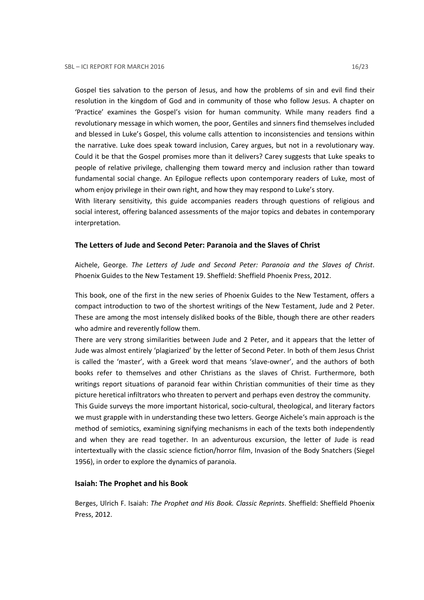Gospel ties salvation to the person of Jesus, and how the problems of sin and evil find their resolution in the kingdom of God and in community of those who follow Jesus. A chapter on 'Practice' examines the Gospel's vision for human community. While many readers find a revolutionary message in which women, the poor, Gentiles and sinners find themselves included and blessed in Luke's Gospel, this volume calls attention to inconsistencies and tensions within the narrative. Luke does speak toward inclusion, Carey argues, but not in a revolutionary way. Could it be that the Gospel promises more than it delivers? Carey suggests that Luke speaks to people of relative privilege, challenging them toward mercy and inclusion rather than toward fundamental social change. An Epilogue reflects upon contemporary readers of Luke, most of whom enjoy privilege in their own right, and how they may respond to Luke's story.

With literary sensitivity, this guide accompanies readers through questions of religious and social interest, offering balanced assessments of the major topics and debates in contemporary interpretation.

### The Letters of Jude and Second Peter: Paranoia and the Slaves of Christ

Aichele, George. The Letters of Jude and Second Peter: Paranoia and the Slaves of Christ. Phoenix Guides to the New Testament 19. Sheffield: Sheffield Phoenix Press, 2012.

This book, one of the first in the new series of Phoenix Guides to the New Testament, offers a compact introduction to two of the shortest writings of the New Testament, Jude and 2 Peter. These are among the most intensely disliked books of the Bible, though there are other readers who admire and reverently follow them.

There are very strong similarities between Jude and 2 Peter, and it appears that the letter of Jude was almost entirely 'plagiarized' by the letter of Second Peter. In both of them Jesus Christ is called the 'master', with a Greek word that means 'slave-owner', and the authors of both books refer to themselves and other Christians as the slaves of Christ. Furthermore, both writings report situations of paranoid fear within Christian communities of their time as they picture heretical infiltrators who threaten to pervert and perhaps even destroy the community.

This Guide surveys the more important historical, socio-cultural, theological, and literary factors we must grapple with in understanding these two letters. George Aichele's main approach is the method of semiotics, examining signifying mechanisms in each of the texts both independently and when they are read together. In an adventurous excursion, the letter of Jude is read intertextually with the classic science fiction/horror film, Invasion of the Body Snatchers (Siegel 1956), in order to explore the dynamics of paranoia.

### Isaiah: The Prophet and his Book

Berges, Ulrich F. Isaiah: The Prophet and His Book. Classic Reprints. Sheffield: Sheffield Phoenix Press, 2012.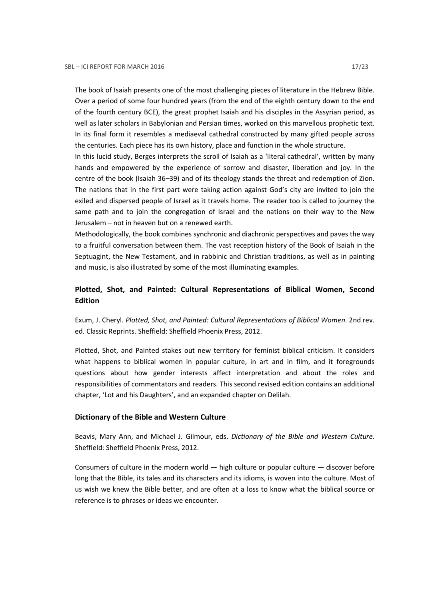The book of Isaiah presents one of the most challenging pieces of literature in the Hebrew Bible. Over a period of some four hundred years (from the end of the eighth century down to the end of the fourth century BCE), the great prophet Isaiah and his disciples in the Assyrian period, as well as later scholars in Babylonian and Persian times, worked on this marvellous prophetic text. In its final form it resembles a mediaeval cathedral constructed by many gifted people across the centuries. Each piece has its own history, place and function in the whole structure.

In this lucid study, Berges interprets the scroll of Isaiah as a 'literal cathedral', written by many hands and empowered by the experience of sorrow and disaster, liberation and joy. In the centre of the book (Isaiah 36–39) and of its theology stands the threat and redemption of Zion. The nations that in the first part were taking action against God's city are invited to join the exiled and dispersed people of Israel as it travels home. The reader too is called to journey the same path and to join the congregation of Israel and the nations on their way to the New Jerusalem – not in heaven but on a renewed earth.

Methodologically, the book combines synchronic and diachronic perspectives and paves the way to a fruitful conversation between them. The vast reception history of the Book of Isaiah in the Septuagint, the New Testament, and in rabbinic and Christian traditions, as well as in painting and music, is also illustrated by some of the most illuminating examples.

# Plotted, Shot, and Painted: Cultural Representations of Biblical Women, Second Edition

Exum, J. Cheryl. Plotted, Shot, and Painted: Cultural Representations of Biblical Women. 2nd rev. ed. Classic Reprints. Sheffield: Sheffield Phoenix Press, 2012.

Plotted, Shot, and Painted stakes out new territory for feminist biblical criticism. It considers what happens to biblical women in popular culture, in art and in film, and it foregrounds questions about how gender interests affect interpretation and about the roles and responsibilities of commentators and readers. This second revised edition contains an additional chapter, 'Lot and his Daughters', and an expanded chapter on Delilah.

### Dictionary of the Bible and Western Culture

Beavis, Mary Ann, and Michael J. Gilmour, eds. Dictionary of the Bible and Western Culture. Sheffield: Sheffield Phoenix Press, 2012.

Consumers of culture in the modern world  $-$  high culture or popular culture  $-$  discover before long that the Bible, its tales and its characters and its idioms, is woven into the culture. Most of us wish we knew the Bible better, and are often at a loss to know what the biblical source or reference is to phrases or ideas we encounter.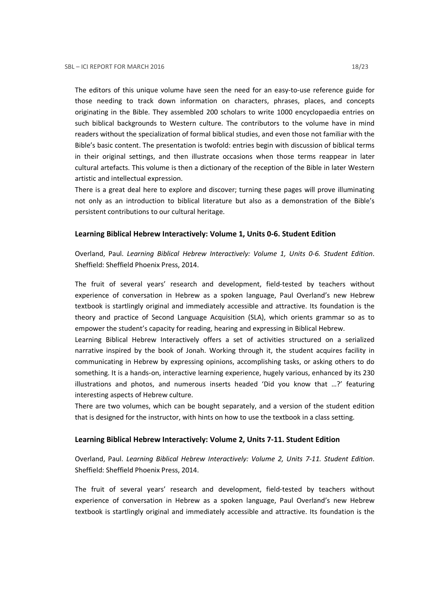The editors of this unique volume have seen the need for an easy-to-use reference guide for those needing to track down information on characters, phrases, places, and concepts originating in the Bible. They assembled 200 scholars to write 1000 encyclopaedia entries on such biblical backgrounds to Western culture. The contributors to the volume have in mind readers without the specialization of formal biblical studies, and even those not familiar with the Bible's basic content. The presentation is twofold: entries begin with discussion of biblical terms in their original settings, and then illustrate occasions when those terms reappear in later cultural artefacts. This volume is then a dictionary of the reception of the Bible in later Western artistic and intellectual expression.

There is a great deal here to explore and discover; turning these pages will prove illuminating not only as an introduction to biblical literature but also as a demonstration of the Bible's persistent contributions to our cultural heritage.

### Learning Biblical Hebrew Interactively: Volume 1, Units 0-6. Student Edition

Overland, Paul. Learning Biblical Hebrew Interactively: Volume 1, Units 0-6. Student Edition. Sheffield: Sheffield Phoenix Press, 2014.

The fruit of several years' research and development, field-tested by teachers without experience of conversation in Hebrew as a spoken language, Paul Overland's new Hebrew textbook is startlingly original and immediately accessible and attractive. Its foundation is the theory and practice of Second Language Acquisition (SLA), which orients grammar so as to empower the student's capacity for reading, hearing and expressing in Biblical Hebrew.

Learning Biblical Hebrew Interactively offers a set of activities structured on a serialized narrative inspired by the book of Jonah. Working through it, the student acquires facility in communicating in Hebrew by expressing opinions, accomplishing tasks, or asking others to do something. It is a hands-on, interactive learning experience, hugely various, enhanced by its 230 illustrations and photos, and numerous inserts headed 'Did you know that …?' featuring interesting aspects of Hebrew culture.

There are two volumes, which can be bought separately, and a version of the student edition that is designed for the instructor, with hints on how to use the textbook in a class setting.

### Learning Biblical Hebrew Interactively: Volume 2, Units 7-11. Student Edition

Overland, Paul. Learning Biblical Hebrew Interactively: Volume 2, Units 7-11. Student Edition. Sheffield: Sheffield Phoenix Press, 2014.

The fruit of several years' research and development, field-tested by teachers without experience of conversation in Hebrew as a spoken language, Paul Overland's new Hebrew textbook is startlingly original and immediately accessible and attractive. Its foundation is the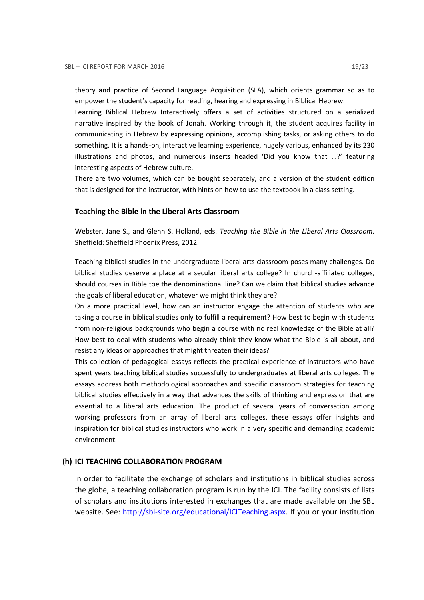theory and practice of Second Language Acquisition (SLA), which orients grammar so as to empower the student's capacity for reading, hearing and expressing in Biblical Hebrew.

Learning Biblical Hebrew Interactively offers a set of activities structured on a serialized narrative inspired by the book of Jonah. Working through it, the student acquires facility in communicating in Hebrew by expressing opinions, accomplishing tasks, or asking others to do something. It is a hands-on, interactive learning experience, hugely various, enhanced by its 230 illustrations and photos, and numerous inserts headed 'Did you know that …?' featuring interesting aspects of Hebrew culture.

There are two volumes, which can be bought separately, and a version of the student edition that is designed for the instructor, with hints on how to use the textbook in a class setting.

#### Teaching the Bible in the Liberal Arts Classroom

Webster, Jane S., and Glenn S. Holland, eds. Teaching the Bible in the Liberal Arts Classroom. Sheffield: Sheffield Phoenix Press, 2012.

Teaching biblical studies in the undergraduate liberal arts classroom poses many challenges. Do biblical studies deserve a place at a secular liberal arts college? In church-affiliated colleges, should courses in Bible toe the denominational line? Can we claim that biblical studies advance the goals of liberal education, whatever we might think they are?

On a more practical level, how can an instructor engage the attention of students who are taking a course in biblical studies only to fulfill a requirement? How best to begin with students from non-religious backgrounds who begin a course with no real knowledge of the Bible at all? How best to deal with students who already think they know what the Bible is all about, and resist any ideas or approaches that might threaten their ideas?

This collection of pedagogical essays reflects the practical experience of instructors who have spent years teaching biblical studies successfully to undergraduates at liberal arts colleges. The essays address both methodological approaches and specific classroom strategies for teaching biblical studies effectively in a way that advances the skills of thinking and expression that are essential to a liberal arts education. The product of several years of conversation among working professors from an array of liberal arts colleges, these essays offer insights and inspiration for biblical studies instructors who work in a very specific and demanding academic environment.

#### (h) ICI TEACHING COLLABORATION PROGRAM

In order to facilitate the exchange of scholars and institutions in biblical studies across the globe, a teaching collaboration program is run by the ICI. The facility consists of lists of scholars and institutions interested in exchanges that are made available on the SBL website. See: http://sbl-site.org/educational/ICITeaching.aspx. If you or your institution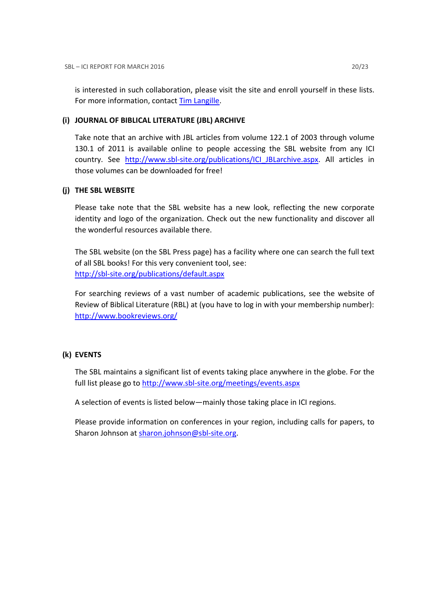is interested in such collaboration, please visit the site and enroll yourself in these lists. For more information, contact Tim Langille.

## (i) JOURNAL OF BIBLICAL LITERATURE (JBL) ARCHIVE

Take note that an archive with JBL articles from volume 122.1 of 2003 through volume 130.1 of 2011 is available online to people accessing the SBL website from any ICI country. See http://www.sbl-site.org/publications/ICI\_JBLarchive.aspx. All articles in those volumes can be downloaded for free!

# (j) THE SBL WEBSITE

Please take note that the SBL website has a new look, reflecting the new corporate identity and logo of the organization. Check out the new functionality and discover all the wonderful resources available there.

The SBL website (on the SBL Press page) has a facility where one can search the full text of all SBL books! For this very convenient tool, see: http://sbl-site.org/publications/default.aspx

For searching reviews of a vast number of academic publications, see the website of Review of Biblical Literature (RBL) at (you have to log in with your membership number): http://www.bookreviews.org/

# (k) EVENTS

The SBL maintains a significant list of events taking place anywhere in the globe. For the full list please go to http://www.sbl-site.org/meetings/events.aspx

A selection of events is listed below—mainly those taking place in ICI regions.

Please provide information on conferences in your region, including calls for papers, to Sharon Johnson at sharon.johnson@sbl-site.org.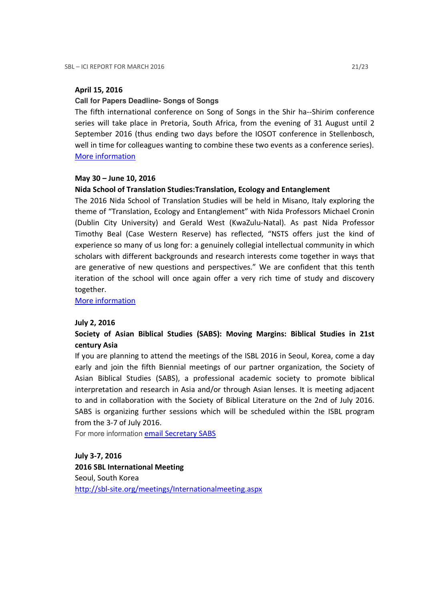## April 15, 2016

### **Call for Papers Deadline- Songs of Songs**

The fifth international conference on Song of Songs in the Shir ha--Shirim conference series will take place in Pretoria, South Africa, from the evening of 31 August until 2 September 2016 (thus ending two days before the IOSOT conference in Stellenbosch, well in time for colleagues wanting to combine these two events as a conference series). More information

### May 30 – June 10, 2016

## Nida School of Translation Studies:Translation, Ecology and Entanglement

The 2016 Nida School of Translation Studies will be held in Misano, Italy exploring the theme of "Translation, Ecology and Entanglement" with Nida Professors Michael Cronin (Dublin City University) and Gerald West (KwaZulu-Natal). As past Nida Professor Timothy Beal (Case Western Reserve) has reflected, "NSTS offers just the kind of experience so many of us long for: a genuinely collegial intellectual community in which scholars with different backgrounds and research interests come together in ways that are generative of new questions and perspectives." We are confident that this tenth iteration of the school will once again offer a very rich time of study and discovery together.

More information

### July 2, 2016

# Society of Asian Biblical Studies (SABS): Moving Margins: Biblical Studies in 21st century Asia

If you are planning to attend the meetings of the ISBL 2016 in Seoul, Korea, come a day early and join the fifth Biennial meetings of our partner organization, the Society of Asian Biblical Studies (SABS), a professional academic society to promote biblical interpretation and research in Asia and/or through Asian lenses. It is meeting adjacent to and in collaboration with the Society of Biblical Literature on the 2nd of July 2016. SABS is organizing further sessions which will be scheduled within the ISBL program from the 3-7 of July 2016.

For more information email Secretary SABS

July 3-7, 2016 2016 SBL International Meeting Seoul, South Korea http://sbl-site.org/meetings/Internationalmeeting.aspx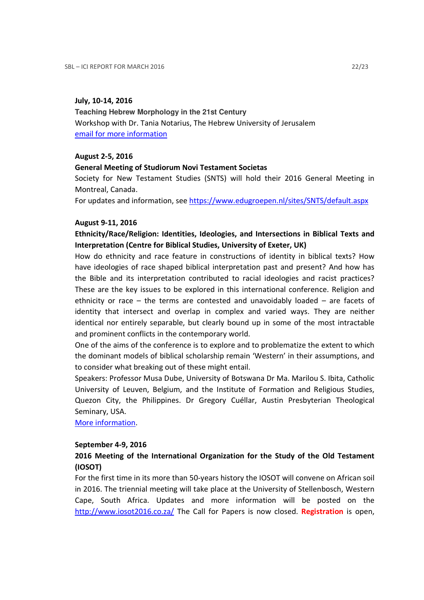## July, 10-14, 2016

**Teaching Hebrew Morphology in the 21st Century**  Workshop with Dr. Tania Notarius, The Hebrew University of Jerusalem email for more information

## August 2-5, 2016

## General Meeting of Studiorum Novi Testament Societas

Society for New Testament Studies (SNTS) will hold their 2016 General Meeting in Montreal, Canada.

For updates and information, see https://www.edugroepen.nl/sites/SNTS/default.aspx

## August 9-11, 2016

# Ethnicity/Race/Religion: Identities, Ideologies, and Intersections in Biblical Texts and Interpretation (Centre for Biblical Studies, University of Exeter, UK)

How do ethnicity and race feature in constructions of identity in biblical texts? How have ideologies of race shaped biblical interpretation past and present? And how has the Bible and its interpretation contributed to racial ideologies and racist practices? These are the key issues to be explored in this international conference. Religion and ethnicity or race – the terms are contested and unavoidably loaded – are facets of identity that intersect and overlap in complex and varied ways. They are neither identical nor entirely separable, but clearly bound up in some of the most intractable and prominent conflicts in the contemporary world.

One of the aims of the conference is to explore and to problematize the extent to which the dominant models of biblical scholarship remain 'Western' in their assumptions, and to consider what breaking out of these might entail.

Speakers: Professor Musa Dube, University of Botswana Dr Ma. Marilou S. Ibita, Catholic University of Leuven, Belgium, and the Institute of Formation and Religious Studies, Quezon City, the Philippines. Dr Gregory Cuéllar, Austin Presbyterian Theological Seminary, USA.

More information.

### September 4-9, 2016

# 2016 Meeting of the International Organization for the Study of the Old Testament (IOSOT)

For the first time in its more than 50-years history the IOSOT will convene on African soil in 2016. The triennial meeting will take place at the University of Stellenbosch, Western Cape, South Africa. Updates and more information will be posted on the http://www.iosot2016.co.za/ The Call for Papers is now closed. Registration is open,